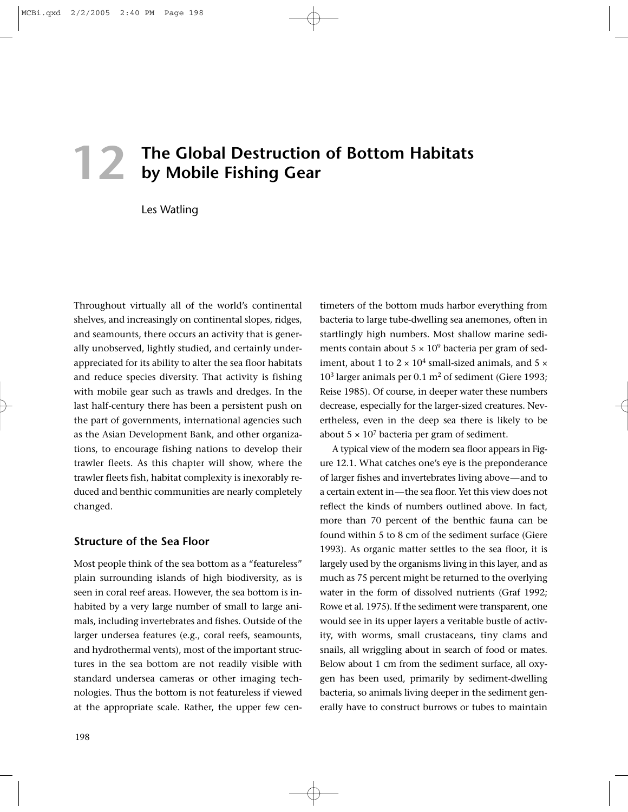# **The Global Destruction of Bottom Habitats by Mobile Fishing Gear 12**

Les Watling

Throughout virtually all of the world's continental shelves, and increasingly on continental slopes, ridges, and seamounts, there occurs an activity that is generally unobserved, lightly studied, and certainly underappreciated for its ability to alter the sea floor habitats and reduce species diversity. That activity is fishing with mobile gear such as trawls and dredges. In the last half-century there has been a persistent push on the part of governments, international agencies such as the Asian Development Bank, and other organizations, to encourage fishing nations to develop their trawler fleets. As this chapter will show, where the trawler fleets fish, habitat complexity is inexorably reduced and benthic communities are nearly completely changed.

### **Structure of the Sea Floor**

Most people think of the sea bottom as a "featureless" plain surrounding islands of high biodiversity, as is seen in coral reef areas. However, the sea bottom is inhabited by a very large number of small to large animals, including invertebrates and fishes. Outside of the larger undersea features (e.g., coral reefs, seamounts, and hydrothermal vents), most of the important structures in the sea bottom are not readily visible with standard undersea cameras or other imaging technologies. Thus the bottom is not featureless if viewed at the appropriate scale. Rather, the upper few centimeters of the bottom muds harbor everything from bacteria to large tube-dwelling sea anemones, often in startlingly high numbers. Most shallow marine sediments contain about  $5 \times 10^9$  bacteria per gram of sediment, about 1 to  $2 \times 10^4$  small-sized animals, and 5  $\times$ 10<sup>3</sup> larger animals per 0.1 m<sup>2</sup> of sediment (Giere 1993; Reise 1985). Of course, in deeper water these numbers decrease, especially for the larger-sized creatures. Nevertheless, even in the deep sea there is likely to be about  $5 \times 10^7$  bacteria per gram of sediment.

A typical view of the modern sea floor appears in Figure 12.1. What catches one's eye is the preponderance of larger fishes and invertebrates living above—and to a certain extent in—the sea floor. Yet this view does not reflect the kinds of numbers outlined above. In fact, more than 70 percent of the benthic fauna can be found within 5 to 8 cm of the sediment surface (Giere 1993). As organic matter settles to the sea floor, it is largely used by the organisms living in this layer, and as much as 75 percent might be returned to the overlying water in the form of dissolved nutrients (Graf 1992; Rowe et al. 1975). If the sediment were transparent, one would see in its upper layers a veritable bustle of activity, with worms, small crustaceans, tiny clams and snails, all wriggling about in search of food or mates. Below about 1 cm from the sediment surface, all oxygen has been used, primarily by sediment-dwelling bacteria, so animals living deeper in the sediment generally have to construct burrows or tubes to maintain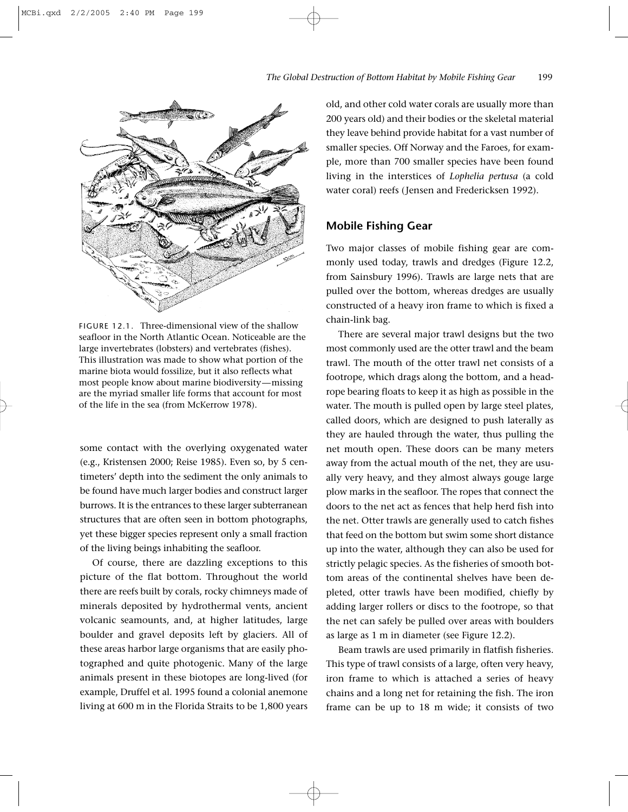

FIGURE 12.1. Three-dimensional view of the shallow seafloor in the North Atlantic Ocean. Noticeable are the large invertebrates (lobsters) and vertebrates (fishes). This illustration was made to show what portion of the marine biota would fossilize, but it also reflects what most people know about marine biodiversity—missing are the myriad smaller life forms that account for most of the life in the sea (from McKerrow 1978).

some contact with the overlying oxygenated water (e.g., Kristensen 2000; Reise 1985). Even so, by 5 centimeters' depth into the sediment the only animals to be found have much larger bodies and construct larger burrows. It is the entrances to these larger subterranean structures that are often seen in bottom photographs, yet these bigger species represent only a small fraction of the living beings inhabiting the seafloor.

Of course, there are dazzling exceptions to this picture of the flat bottom. Throughout the world there are reefs built by corals, rocky chimneys made of minerals deposited by hydrothermal vents, ancient volcanic seamounts, and, at higher latitudes, large boulder and gravel deposits left by glaciers. All of these areas harbor large organisms that are easily photographed and quite photogenic. Many of the large animals present in these biotopes are long-lived (for example, Druffel et al. 1995 found a colonial anemone living at 600 m in the Florida Straits to be 1,800 years

old, and other cold water corals are usually more than 200 years old) and their bodies or the skeletal material they leave behind provide habitat for a vast number of smaller species. Off Norway and the Faroes, for example, more than 700 smaller species have been found living in the interstices of *Lophelia pertusa* (a cold water coral) reefs (Jensen and Fredericksen 1992).

### **Mobile Fishing Gear**

Two major classes of mobile fishing gear are commonly used today, trawls and dredges (Figure 12.2, from Sainsbury 1996). Trawls are large nets that are pulled over the bottom, whereas dredges are usually constructed of a heavy iron frame to which is fixed a chain-link bag.

There are several major trawl designs but the two most commonly used are the otter trawl and the beam trawl. The mouth of the otter trawl net consists of a footrope, which drags along the bottom, and a headrope bearing floats to keep it as high as possible in the water. The mouth is pulled open by large steel plates, called doors, which are designed to push laterally as they are hauled through the water, thus pulling the net mouth open. These doors can be many meters away from the actual mouth of the net, they are usually very heavy, and they almost always gouge large plow marks in the seafloor. The ropes that connect the doors to the net act as fences that help herd fish into the net. Otter trawls are generally used to catch fishes that feed on the bottom but swim some short distance up into the water, although they can also be used for strictly pelagic species. As the fisheries of smooth bottom areas of the continental shelves have been depleted, otter trawls have been modified, chiefly by adding larger rollers or discs to the footrope, so that the net can safely be pulled over areas with boulders as large as 1 m in diameter (see Figure 12.2).

Beam trawls are used primarily in flatfish fisheries. This type of trawl consists of a large, often very heavy, iron frame to which is attached a series of heavy chains and a long net for retaining the fish. The iron frame can be up to 18 m wide; it consists of two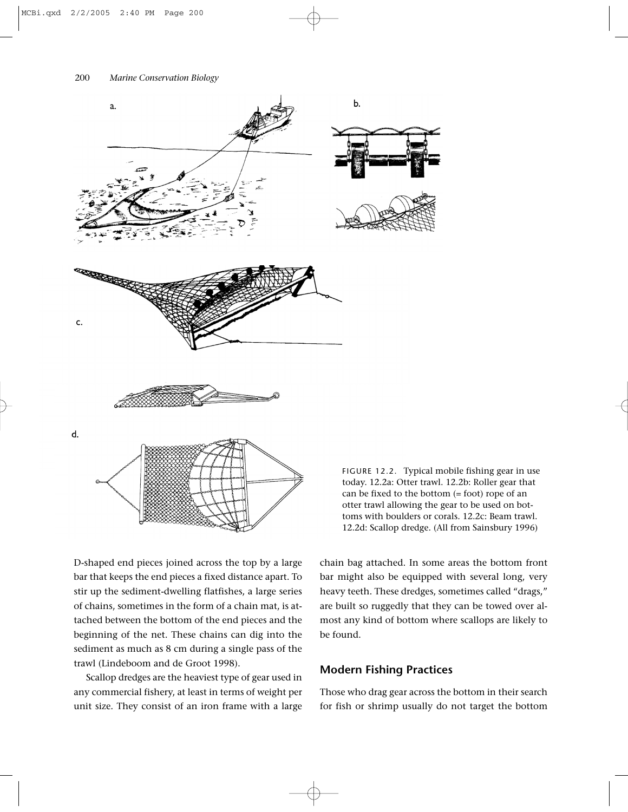

D-shaped end pieces joined across the top by a large bar that keeps the end pieces a fixed distance apart. To stir up the sediment-dwelling flatfishes, a large series of chains, sometimes in the form of a chain mat, is attached between the bottom of the end pieces and the beginning of the net. These chains can dig into the sediment as much as 8 cm during a single pass of the trawl (Lindeboom and de Groot 1998).

Scallop dredges are the heaviest type of gear used in any commercial fishery, at least in terms of weight per unit size. They consist of an iron frame with a large

FIGURE 12.2. Typical mobile fishing gear in use today. 12.2a: Otter trawl. 12.2b: Roller gear that can be fixed to the bottom (= foot) rope of an otter trawl allowing the gear to be used on bottoms with boulders or corals. 12.2c: Beam trawl. 12.2d: Scallop dredge. (All from Sainsbury 1996)

chain bag attached. In some areas the bottom front bar might also be equipped with several long, very heavy teeth. These dredges, sometimes called "drags," are built so ruggedly that they can be towed over almost any kind of bottom where scallops are likely to be found.

## **Modern Fishing Practices**

Those who drag gear across the bottom in their search for fish or shrimp usually do not target the bottom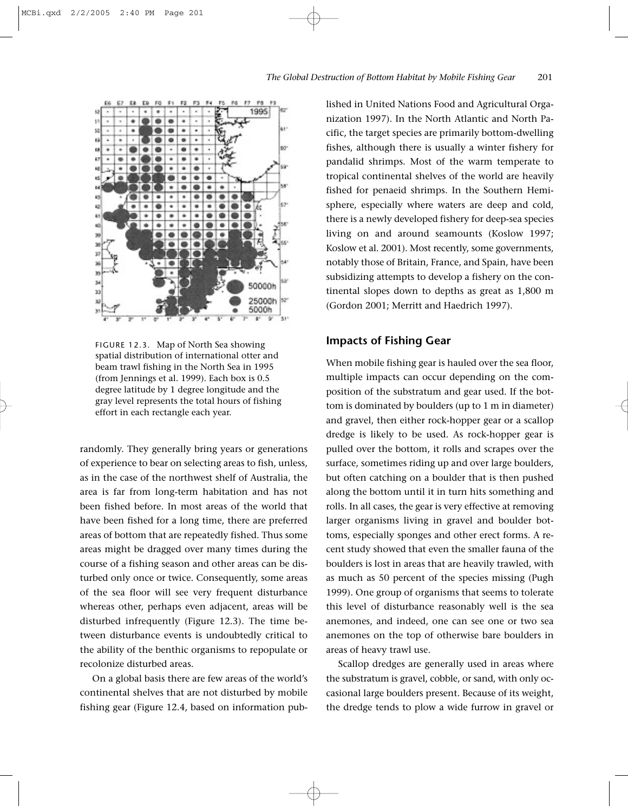

FIGURE 12.3. Map of North Sea showing spatial distribution of international otter and beam trawl fishing in the North Sea in 1995 (from Jennings et al. 1999). Each box is 0.5 degree latitude by 1 degree longitude and the gray level represents the total hours of fishing effort in each rectangle each year.

randomly. They generally bring years or generations of experience to bear on selecting areas to fish, unless, as in the case of the northwest shelf of Australia, the area is far from long-term habitation and has not been fished before. In most areas of the world that have been fished for a long time, there are preferred areas of bottom that are repeatedly fished. Thus some areas might be dragged over many times during the course of a fishing season and other areas can be disturbed only once or twice. Consequently, some areas of the sea floor will see very frequent disturbance whereas other, perhaps even adjacent, areas will be disturbed infrequently (Figure 12.3). The time between disturbance events is undoubtedly critical to the ability of the benthic organisms to repopulate or recolonize disturbed areas.

On a global basis there are few areas of the world's continental shelves that are not disturbed by mobile fishing gear (Figure 12.4, based on information published in United Nations Food and Agricultural Organization 1997). In the North Atlantic and North Pacific, the target species are primarily bottom-dwelling fishes, although there is usually a winter fishery for pandalid shrimps. Most of the warm temperate to tropical continental shelves of the world are heavily fished for penaeid shrimps. In the Southern Hemisphere, especially where waters are deep and cold, there is a newly developed fishery for deep-sea species living on and around seamounts (Koslow 1997; Koslow et al. 2001). Most recently, some governments, notably those of Britain, France, and Spain, have been subsidizing attempts to develop a fishery on the continental slopes down to depths as great as 1,800 m (Gordon 2001; Merritt and Haedrich 1997).

## **Impacts of Fishing Gear**

When mobile fishing gear is hauled over the sea floor, multiple impacts can occur depending on the composition of the substratum and gear used. If the bottom is dominated by boulders (up to 1 m in diameter) and gravel, then either rock-hopper gear or a scallop dredge is likely to be used. As rock-hopper gear is pulled over the bottom, it rolls and scrapes over the surface, sometimes riding up and over large boulders, but often catching on a boulder that is then pushed along the bottom until it in turn hits something and rolls. In all cases, the gear is very effective at removing larger organisms living in gravel and boulder bottoms, especially sponges and other erect forms. A recent study showed that even the smaller fauna of the boulders is lost in areas that are heavily trawled, with as much as 50 percent of the species missing (Pugh 1999). One group of organisms that seems to tolerate this level of disturbance reasonably well is the sea anemones, and indeed, one can see one or two sea anemones on the top of otherwise bare boulders in areas of heavy trawl use.

Scallop dredges are generally used in areas where the substratum is gravel, cobble, or sand, with only occasional large boulders present. Because of its weight, the dredge tends to plow a wide furrow in gravel or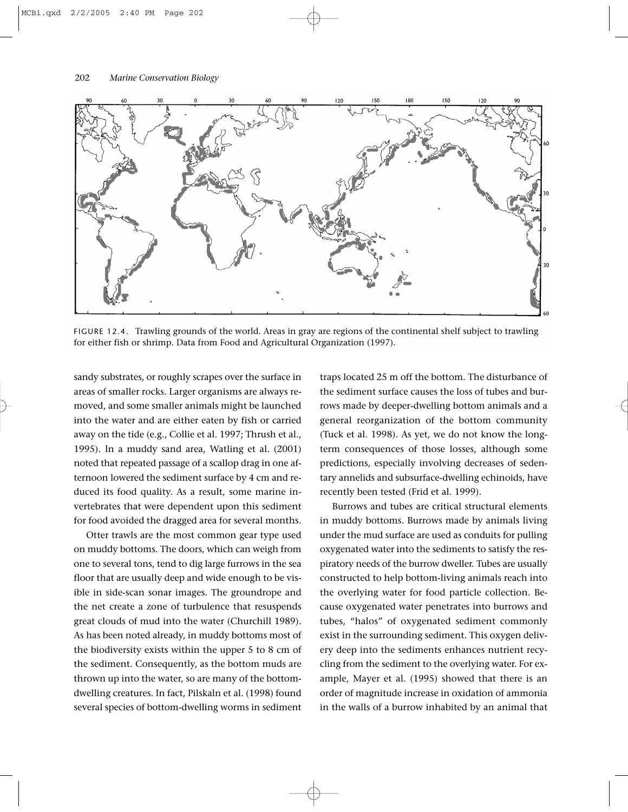

FIGURE 12.4. Trawling grounds of the world. Areas in gray are regions of the continental shelf subject to trawling for either fish or shrimp. Data from Food and Agricultural Organization (1997).

sandy substrates, or roughly scrapes over the surface in areas of smaller rocks. Larger organisms are always removed, and some smaller animals might be launched into the water and are either eaten by fish or carried away on the tide (e.g., Collie et al. 1997; Thrush et al., 1995). In a muddy sand area, Watling et al. (2001) noted that repeated passage of a scallop drag in one afternoon lowered the sediment surface by 4 cm and reduced its food quality. As a result, some marine invertebrates that were dependent upon this sediment for food avoided the dragged area for several months.

Otter trawls are the most common gear type used on muddy bottoms. The doors, which can weigh from one to several tons, tend to dig large furrows in the sea floor that are usually deep and wide enough to be visible in side-scan sonar images. The groundrope and the net create a zone of turbulence that resuspends great clouds of mud into the water (Churchill 1989). As has been noted already, in muddy bottoms most of the biodiversity exists within the upper 5 to 8 cm of the sediment. Consequently, as the bottom muds are thrown up into the water, so are many of the bottomdwelling creatures. In fact, Pilskaln et al. (1998) found several species of bottom-dwelling worms in sediment

traps located 25 m off the bottom. The disturbance of the sediment surface causes the loss of tubes and burrows made by deeper-dwelling bottom animals and a general reorganization of the bottom community (Tuck et al. 1998). As yet, we do not know the longterm consequences of those losses, although some predictions, especially involving decreases of sedentary annelids and subsurface-dwelling echinoids, have recently been tested (Frid et al. 1999).

Burrows and tubes are critical structural elements in muddy bottoms. Burrows made by animals living under the mud surface are used as conduits for pulling oxygenated water into the sediments to satisfy the respiratory needs of the burrow dweller. Tubes are usually constructed to help bottom-living animals reach into the overlying water for food particle collection. Because oxygenated water penetrates into burrows and tubes, "halos" of oxygenated sediment commonly exist in the surrounding sediment. This oxygen delivery deep into the sediments enhances nutrient recycling from the sediment to the overlying water. For example, Mayer et al. (1995) showed that there is an order of magnitude increase in oxidation of ammonia in the walls of a burrow inhabited by an animal that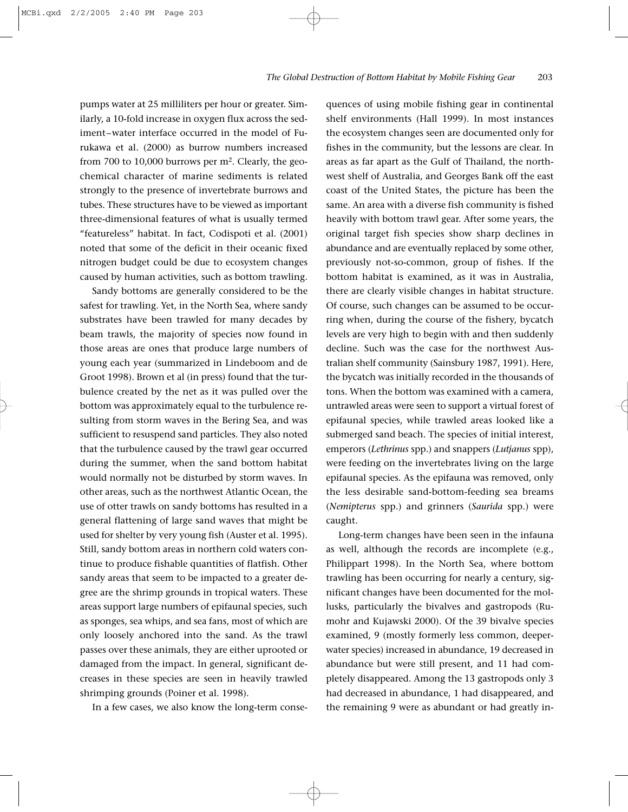pumps water at 25 milliliters per hour or greater. Similarly, a 10-fold increase in oxygen flux across the sediment–water interface occurred in the model of Furukawa et al. (2000) as burrow numbers increased from 700 to 10,000 burrows per  $m<sup>2</sup>$ . Clearly, the geochemical character of marine sediments is related strongly to the presence of invertebrate burrows and tubes. These structures have to be viewed as important three-dimensional features of what is usually termed "featureless" habitat. In fact, Codispoti et al. (2001) noted that some of the deficit in their oceanic fixed nitrogen budget could be due to ecosystem changes caused by human activities, such as bottom trawling.

Sandy bottoms are generally considered to be the safest for trawling. Yet, in the North Sea, where sandy substrates have been trawled for many decades by beam trawls, the majority of species now found in those areas are ones that produce large numbers of young each year (summarized in Lindeboom and de Groot 1998). Brown et al (in press) found that the turbulence created by the net as it was pulled over the bottom was approximately equal to the turbulence resulting from storm waves in the Bering Sea, and was sufficient to resuspend sand particles. They also noted that the turbulence caused by the trawl gear occurred during the summer, when the sand bottom habitat would normally not be disturbed by storm waves. In other areas, such as the northwest Atlantic Ocean, the use of otter trawls on sandy bottoms has resulted in a general flattening of large sand waves that might be used for shelter by very young fish (Auster et al. 1995). Still, sandy bottom areas in northern cold waters continue to produce fishable quantities of flatfish. Other sandy areas that seem to be impacted to a greater degree are the shrimp grounds in tropical waters. These areas support large numbers of epifaunal species, such as sponges, sea whips, and sea fans, most of which are only loosely anchored into the sand. As the trawl passes over these animals, they are either uprooted or damaged from the impact. In general, significant decreases in these species are seen in heavily trawled shrimping grounds (Poiner et al. 1998).

In a few cases, we also know the long-term conse-

quences of using mobile fishing gear in continental shelf environments (Hall 1999). In most instances the ecosystem changes seen are documented only for fishes in the community, but the lessons are clear. In areas as far apart as the Gulf of Thailand, the northwest shelf of Australia, and Georges Bank off the east coast of the United States, the picture has been the same. An area with a diverse fish community is fished heavily with bottom trawl gear. After some years, the original target fish species show sharp declines in abundance and are eventually replaced by some other, previously not-so-common, group of fishes. If the bottom habitat is examined, as it was in Australia, there are clearly visible changes in habitat structure. Of course, such changes can be assumed to be occurring when, during the course of the fishery, bycatch levels are very high to begin with and then suddenly decline. Such was the case for the northwest Australian shelf community (Sainsbury 1987, 1991). Here, the bycatch was initially recorded in the thousands of tons. When the bottom was examined with a camera, untrawled areas were seen to support a virtual forest of epifaunal species, while trawled areas looked like a submerged sand beach. The species of initial interest, emperors (*Lethrinus* spp.) and snappers (*Lutjanus* spp), were feeding on the invertebrates living on the large epifaunal species. As the epifauna was removed, only the less desirable sand-bottom-feeding sea breams (*Nemipterus* spp.) and grinners (*Saurida* spp.) were caught.

Long-term changes have been seen in the infauna as well, although the records are incomplete (e.g., Philippart 1998). In the North Sea, where bottom trawling has been occurring for nearly a century, significant changes have been documented for the mollusks, particularly the bivalves and gastropods (Rumohr and Kujawski 2000). Of the 39 bivalve species examined, 9 (mostly formerly less common, deeperwater species) increased in abundance, 19 decreased in abundance but were still present, and 11 had completely disappeared. Among the 13 gastropods only 3 had decreased in abundance, 1 had disappeared, and the remaining 9 were as abundant or had greatly in-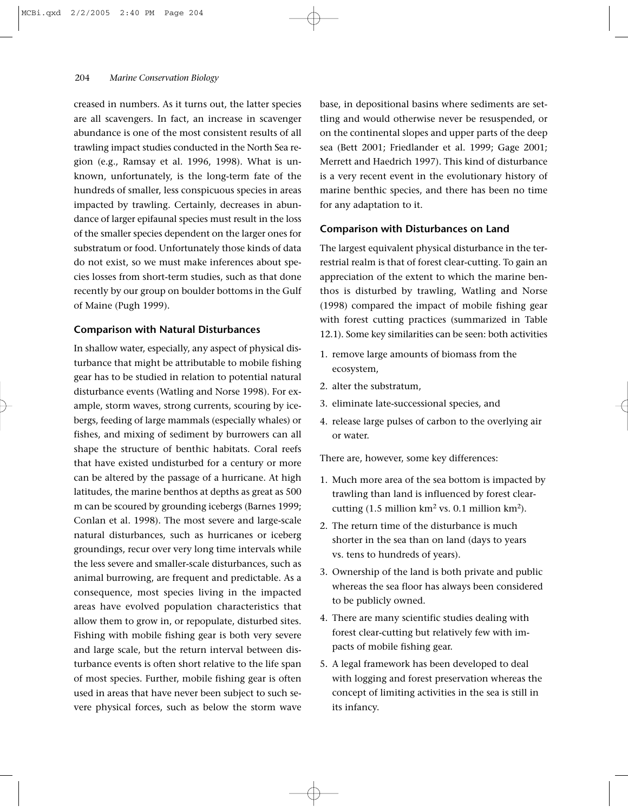creased in numbers. As it turns out, the latter species are all scavengers. In fact, an increase in scavenger abundance is one of the most consistent results of all trawling impact studies conducted in the North Sea region (e.g., Ramsay et al. 1996, 1998). What is unknown, unfortunately, is the long-term fate of the hundreds of smaller, less conspicuous species in areas impacted by trawling. Certainly, decreases in abundance of larger epifaunal species must result in the loss of the smaller species dependent on the larger ones for substratum or food. Unfortunately those kinds of data do not exist, so we must make inferences about species losses from short-term studies, such as that done recently by our group on boulder bottoms in the Gulf of Maine (Pugh 1999).

### **Comparison with Natural Disturbances**

In shallow water, especially, any aspect of physical disturbance that might be attributable to mobile fishing gear has to be studied in relation to potential natural disturbance events (Watling and Norse 1998). For example, storm waves, strong currents, scouring by icebergs, feeding of large mammals (especially whales) or fishes, and mixing of sediment by burrowers can all shape the structure of benthic habitats. Coral reefs that have existed undisturbed for a century or more can be altered by the passage of a hurricane. At high latitudes, the marine benthos at depths as great as 500 m can be scoured by grounding icebergs (Barnes 1999; Conlan et al. 1998). The most severe and large-scale natural disturbances, such as hurricanes or iceberg groundings, recur over very long time intervals while the less severe and smaller-scale disturbances, such as animal burrowing, are frequent and predictable. As a consequence, most species living in the impacted areas have evolved population characteristics that allow them to grow in, or repopulate, disturbed sites. Fishing with mobile fishing gear is both very severe and large scale, but the return interval between disturbance events is often short relative to the life span of most species. Further, mobile fishing gear is often used in areas that have never been subject to such severe physical forces, such as below the storm wave

base, in depositional basins where sediments are settling and would otherwise never be resuspended, or on the continental slopes and upper parts of the deep sea (Bett 2001; Friedlander et al. 1999; Gage 2001; Merrett and Haedrich 1997). This kind of disturbance is a very recent event in the evolutionary history of marine benthic species, and there has been no time for any adaptation to it.

### **Comparison with Disturbances on Land**

The largest equivalent physical disturbance in the terrestrial realm is that of forest clear-cutting. To gain an appreciation of the extent to which the marine benthos is disturbed by trawling, Watling and Norse (1998) compared the impact of mobile fishing gear with forest cutting practices (summarized in Table 12.1). Some key similarities can be seen: both activities

- 1. remove large amounts of biomass from the ecosystem,
- 2. alter the substratum,
- 3. eliminate late-successional species, and
- 4. release large pulses of carbon to the overlying air or water.

There are, however, some key differences:

- 1. Much more area of the sea bottom is impacted by trawling than land is influenced by forest clearcutting  $(1.5 \text{ million km}^2 \text{ vs. } 0.1 \text{ million km}^2)$ .
- 2. The return time of the disturbance is much shorter in the sea than on land (days to years vs. tens to hundreds of years).
- 3. Ownership of the land is both private and public whereas the sea floor has always been considered to be publicly owned.
- 4. There are many scientific studies dealing with forest clear-cutting but relatively few with impacts of mobile fishing gear.
- 5. A legal framework has been developed to deal with logging and forest preservation whereas the concept of limiting activities in the sea is still in its infancy.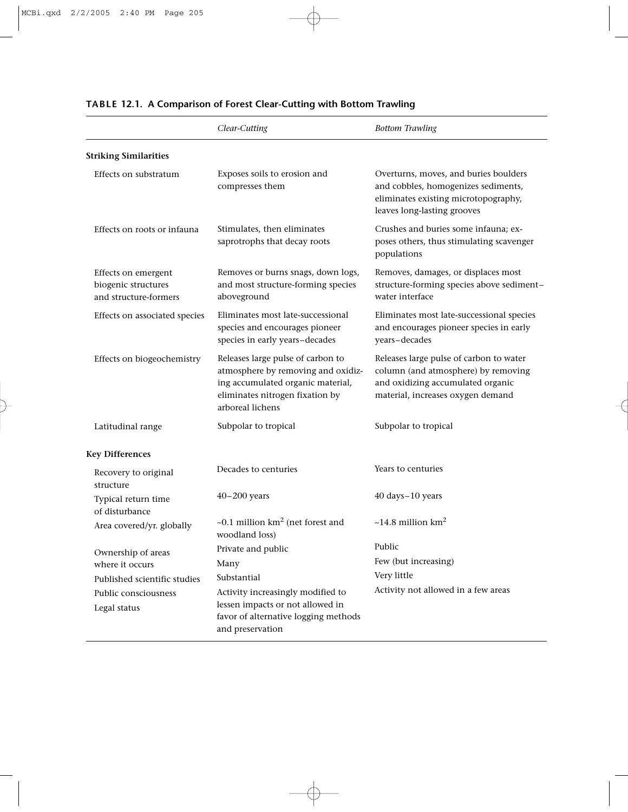|                                                                     | Clear-Cutting                                                                                                                                                       | <b>Bottom Trawling</b>                                                                                                                                   |
|---------------------------------------------------------------------|---------------------------------------------------------------------------------------------------------------------------------------------------------------------|----------------------------------------------------------------------------------------------------------------------------------------------------------|
| <b>Striking Similarities</b>                                        |                                                                                                                                                                     |                                                                                                                                                          |
| Effects on substratum                                               | Exposes soils to erosion and<br>compresses them                                                                                                                     | Overturns, moves, and buries boulders<br>and cobbles, homogenizes sediments,<br>eliminates existing microtopography,<br>leaves long-lasting grooves      |
| Effects on roots or infauna                                         | Stimulates, then eliminates<br>saprotrophs that decay roots                                                                                                         | Crushes and buries some infauna; ex-<br>poses others, thus stimulating scavenger<br>populations                                                          |
| Effects on emergent<br>biogenic structures<br>and structure-formers | Removes or burns snags, down logs,<br>and most structure-forming species<br>aboveground                                                                             | Removes, damages, or displaces most<br>structure-forming species above sediment-<br>water interface                                                      |
| Effects on associated species                                       | Eliminates most late-successional<br>species and encourages pioneer<br>species in early years-decades                                                               | Eliminates most late-successional species<br>and encourages pioneer species in early<br>years-decades                                                    |
| Effects on biogeochemistry                                          | Releases large pulse of carbon to<br>atmosphere by removing and oxidiz-<br>ing accumulated organic material,<br>eliminates nitrogen fixation by<br>arboreal lichens | Releases large pulse of carbon to water<br>column (and atmosphere) by removing<br>and oxidizing accumulated organic<br>material, increases oxygen demand |
| Latitudinal range                                                   | Subpolar to tropical                                                                                                                                                | Subpolar to tropical                                                                                                                                     |
| <b>Key Differences</b>                                              |                                                                                                                                                                     |                                                                                                                                                          |
| Recovery to original<br>structure                                   | Decades to centuries                                                                                                                                                | Years to centuries                                                                                                                                       |
| Typical return time<br>of disturbance                               | $40 - 200$ years                                                                                                                                                    | 40 days-10 years                                                                                                                                         |
| Area covered/yr. globally                                           | ~0.1 million $km^2$ (net forest and<br>woodland loss)                                                                                                               | $\sim$ 14.8 million km <sup>2</sup>                                                                                                                      |
| Ownership of areas                                                  | Private and public                                                                                                                                                  | Public                                                                                                                                                   |
| where it occurs                                                     | Many                                                                                                                                                                | Few (but increasing)                                                                                                                                     |
| Published scientific studies                                        | Substantial                                                                                                                                                         | Very little                                                                                                                                              |
| Public consciousness                                                | Activity increasingly modified to                                                                                                                                   | Activity not allowed in a few areas                                                                                                                      |
| Legal status                                                        | lessen impacts or not allowed in<br>favor of alternative logging methods<br>and preservation                                                                        |                                                                                                                                                          |

 $\rightarrow$ 

# **TABLE 12.1. A Comparison of Forest Clear-Cutting with Bottom Trawling**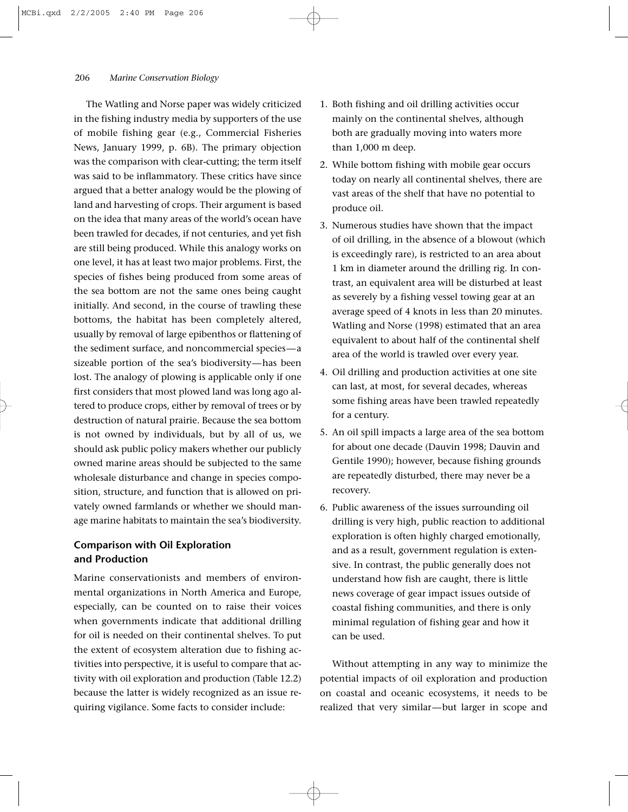The Watling and Norse paper was widely criticized in the fishing industry media by supporters of the use of mobile fishing gear (e.g., Commercial Fisheries News, January 1999, p. 6B). The primary objection was the comparison with clear-cutting; the term itself was said to be inflammatory. These critics have since argued that a better analogy would be the plowing of land and harvesting of crops. Their argument is based on the idea that many areas of the world's ocean have been trawled for decades, if not centuries, and yet fish are still being produced. While this analogy works on one level, it has at least two major problems. First, the species of fishes being produced from some areas of the sea bottom are not the same ones being caught initially. And second, in the course of trawling these bottoms, the habitat has been completely altered, usually by removal of large epibenthos or flattening of the sediment surface, and noncommercial species—a sizeable portion of the sea's biodiversity—has been lost. The analogy of plowing is applicable only if one first considers that most plowed land was long ago altered to produce crops, either by removal of trees or by destruction of natural prairie. Because the sea bottom is not owned by individuals, but by all of us, we should ask public policy makers whether our publicly owned marine areas should be subjected to the same wholesale disturbance and change in species composition, structure, and function that is allowed on privately owned farmlands or whether we should manage marine habitats to maintain the sea's biodiversity.

# **Comparison with Oil Exploration and Production**

Marine conservationists and members of environmental organizations in North America and Europe, especially, can be counted on to raise their voices when governments indicate that additional drilling for oil is needed on their continental shelves. To put the extent of ecosystem alteration due to fishing activities into perspective, it is useful to compare that activity with oil exploration and production (Table 12.2) because the latter is widely recognized as an issue requiring vigilance. Some facts to consider include:

- 1. Both fishing and oil drilling activities occur mainly on the continental shelves, although both are gradually moving into waters more than 1,000 m deep.
- 2. While bottom fishing with mobile gear occurs today on nearly all continental shelves, there are vast areas of the shelf that have no potential to produce oil.
- 3. Numerous studies have shown that the impact of oil drilling, in the absence of a blowout (which is exceedingly rare), is restricted to an area about 1 km in diameter around the drilling rig. In contrast, an equivalent area will be disturbed at least as severely by a fishing vessel towing gear at an average speed of 4 knots in less than 20 minutes. Watling and Norse (1998) estimated that an area equivalent to about half of the continental shelf area of the world is trawled over every year.
- 4. Oil drilling and production activities at one site can last, at most, for several decades, whereas some fishing areas have been trawled repeatedly for a century.
- 5. An oil spill impacts a large area of the sea bottom for about one decade (Dauvin 1998; Dauvin and Gentile 1990); however, because fishing grounds are repeatedly disturbed, there may never be a recovery.
- 6. Public awareness of the issues surrounding oil drilling is very high, public reaction to additional exploration is often highly charged emotionally, and as a result, government regulation is extensive. In contrast, the public generally does not understand how fish are caught, there is little news coverage of gear impact issues outside of coastal fishing communities, and there is only minimal regulation of fishing gear and how it can be used.

Without attempting in any way to minimize the potential impacts of oil exploration and production on coastal and oceanic ecosystems, it needs to be realized that very similar—but larger in scope and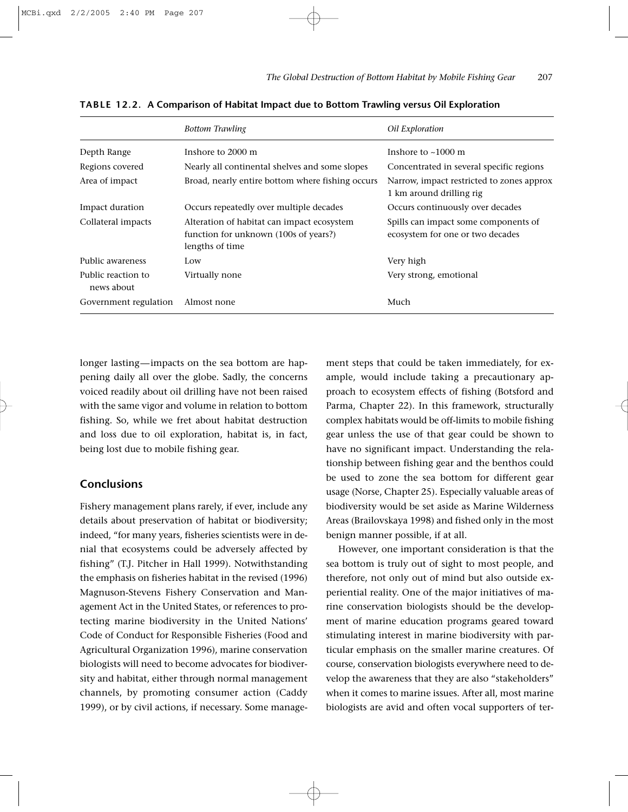|                                  | <b>Bottom Trawling</b>                                                                                 | Oil Exploration                                                          |
|----------------------------------|--------------------------------------------------------------------------------------------------------|--------------------------------------------------------------------------|
| Depth Range                      | Inshore to 2000 m                                                                                      | Inshore to $~1000 \text{ m}$                                             |
| Regions covered                  | Nearly all continental shelves and some slopes                                                         | Concentrated in several specific regions                                 |
| Area of impact                   | Broad, nearly entire bottom where fishing occurs                                                       | Narrow, impact restricted to zones approx<br>1 km around drilling rig    |
| Impact duration                  | Occurs repeatedly over multiple decades                                                                | Occurs continuously over decades                                         |
| Collateral impacts               | Alteration of habitat can impact ecosystem<br>function for unknown (100s of years?)<br>lengths of time | Spills can impact some components of<br>ecosystem for one or two decades |
| Public awareness                 | Low                                                                                                    | Very high                                                                |
| Public reaction to<br>news about | Virtually none                                                                                         | Very strong, emotional                                                   |
| Government regulation            | Almost none                                                                                            | Much                                                                     |

**TABLE 12.2. A Comparison of Habitat Impact due to Bottom Trawling versus Oil Exploration**

longer lasting—impacts on the sea bottom are happening daily all over the globe. Sadly, the concerns voiced readily about oil drilling have not been raised with the same vigor and volume in relation to bottom fishing. So, while we fret about habitat destruction and loss due to oil exploration, habitat is, in fact, being lost due to mobile fishing gear.

## **Conclusions**

Fishery management plans rarely, if ever, include any details about preservation of habitat or biodiversity; indeed, "for many years, fisheries scientists were in denial that ecosystems could be adversely affected by fishing" (T.J. Pitcher in Hall 1999). Notwithstanding the emphasis on fisheries habitat in the revised (1996) Magnuson-Stevens Fishery Conservation and Management Act in the United States, or references to protecting marine biodiversity in the United Nations' Code of Conduct for Responsible Fisheries (Food and Agricultural Organization 1996), marine conservation biologists will need to become advocates for biodiversity and habitat, either through normal management channels, by promoting consumer action (Caddy 1999), or by civil actions, if necessary. Some manage-

ment steps that could be taken immediately, for example, would include taking a precautionary approach to ecosystem effects of fishing (Botsford and Parma, Chapter 22). In this framework, structurally complex habitats would be off-limits to mobile fishing gear unless the use of that gear could be shown to have no significant impact. Understanding the relationship between fishing gear and the benthos could be used to zone the sea bottom for different gear usage (Norse, Chapter 25). Especially valuable areas of biodiversity would be set aside as Marine Wilderness Areas (Brailovskaya 1998) and fished only in the most benign manner possible, if at all.

However, one important consideration is that the sea bottom is truly out of sight to most people, and therefore, not only out of mind but also outside experiential reality. One of the major initiatives of marine conservation biologists should be the development of marine education programs geared toward stimulating interest in marine biodiversity with particular emphasis on the smaller marine creatures. Of course, conservation biologists everywhere need to develop the awareness that they are also "stakeholders" when it comes to marine issues. After all, most marine biologists are avid and often vocal supporters of ter-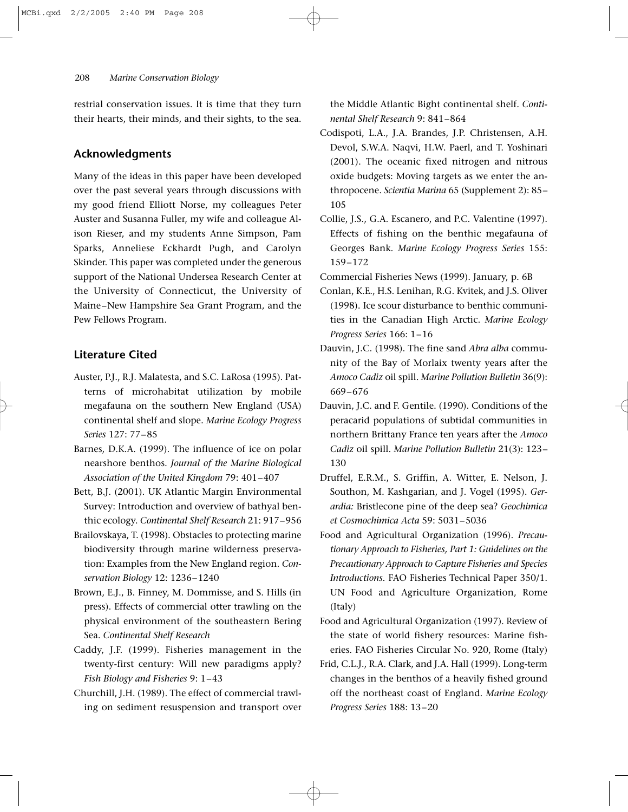restrial conservation issues. It is time that they turn their hearts, their minds, and their sights, to the sea.

### **Acknowledgments**

Many of the ideas in this paper have been developed over the past several years through discussions with my good friend Elliott Norse, my colleagues Peter Auster and Susanna Fuller, my wife and colleague Alison Rieser, and my students Anne Simpson, Pam Sparks, Anneliese Eckhardt Pugh, and Carolyn Skinder. This paper was completed under the generous support of the National Undersea Research Center at the University of Connecticut, the University of Maine–New Hampshire Sea Grant Program, and the Pew Fellows Program.

## **Literature Cited**

- Auster, P.J., R.J. Malatesta, and S.C. LaRosa (1995). Patterns of microhabitat utilization by mobile megafauna on the southern New England (USA) continental shelf and slope. *Marine Ecology Progress Series* 127: 77–85
- Barnes, D.K.A. (1999). The influence of ice on polar nearshore benthos. *Journal of the Marine Biological Association of the United Kingdom* 79: 401–407
- Bett, B.J. (2001). UK Atlantic Margin Environmental Survey: Introduction and overview of bathyal benthic ecology. *Continental Shelf Research* 21: 917–956
- Brailovskaya, T. (1998). Obstacles to protecting marine biodiversity through marine wilderness preservation: Examples from the New England region. *Conservation Biology* 12: 1236–1240
- Brown, E.J., B. Finney, M. Dommisse, and S. Hills (in press). Effects of commercial otter trawling on the physical environment of the southeastern Bering Sea. *Continental Shelf Research*
- Caddy, J.F. (1999). Fisheries management in the twenty-first century: Will new paradigms apply? *Fish Biology and Fisheries* 9: 1–43
- Churchill, J.H. (1989). The effect of commercial trawling on sediment resuspension and transport over

the Middle Atlantic Bight continental shelf. *Continental Shelf Research* 9: 841–864

- Codispoti, L.A., J.A. Brandes, J.P. Christensen, A.H. Devol, S.W.A. Naqvi, H.W. Paerl, and T. Yoshinari (2001). The oceanic fixed nitrogen and nitrous oxide budgets: Moving targets as we enter the anthropocene. *Scientia Marina* 65 (Supplement 2): 85– 105
- Collie, J.S., G.A. Escanero, and P.C. Valentine (1997). Effects of fishing on the benthic megafauna of Georges Bank. *Marine Ecology Progress Series* 155: 159–172
- Commercial Fisheries News (1999). January, p. 6B
- Conlan, K.E., H.S. Lenihan, R.G. Kvitek, and J.S. Oliver (1998). Ice scour disturbance to benthic communities in the Canadian High Arctic. *Marine Ecology Progress Series* 166: 1–16
- Dauvin, J.C. (1998). The fine sand *Abra alba* community of the Bay of Morlaix twenty years after the *Amoco Cadiz* oil spill. *Marine Pollution Bulletin* 36(9): 669–676
- Dauvin, J.C. and F. Gentile. (1990). Conditions of the peracarid populations of subtidal communities in northern Brittany France ten years after the *Amoco Cadiz* oil spill. *Marine Pollution Bulletin* 21(3): 123– 130
- Druffel, E.R.M., S. Griffin, A. Witter, E. Nelson, J. Southon, M. Kashgarian, and J. Vogel (1995). *Gerardia:* Bristlecone pine of the deep sea? *Geochimica et Cosmochimica Acta* 59: 5031–5036
- Food and Agricultural Organization (1996). *Precautionary Approach to Fisheries, Part 1: Guidelines on the Precautionary Approach to Capture Fisheries and Species Introductions.* FAO Fisheries Technical Paper 350/1. UN Food and Agriculture Organization, Rome (Italy)
- Food and Agricultural Organization (1997). Review of the state of world fishery resources: Marine fisheries. FAO Fisheries Circular No. 920, Rome (Italy)
- Frid, C.L.J., R.A. Clark, and J.A. Hall (1999). Long-term changes in the benthos of a heavily fished ground off the northeast coast of England. *Marine Ecology Progress Series* 188: 13–20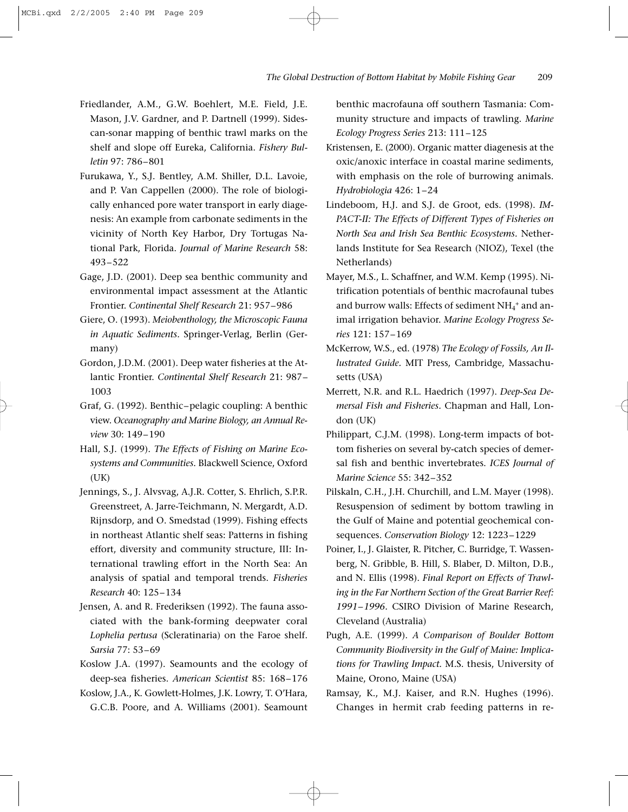- Friedlander, A.M., G.W. Boehlert, M.E. Field, J.E. Mason, J.V. Gardner, and P. Dartnell (1999). Sidescan-sonar mapping of benthic trawl marks on the shelf and slope off Eureka, California. *Fishery Bulletin* 97: 786–801
- Furukawa, Y., S.J. Bentley, A.M. Shiller, D.L. Lavoie, and P. Van Cappellen (2000). The role of biologically enhanced pore water transport in early diagenesis: An example from carbonate sediments in the vicinity of North Key Harbor, Dry Tortugas National Park, Florida. *Journal of Marine Research* 58: 493–522
- Gage, J.D. (2001). Deep sea benthic community and environmental impact assessment at the Atlantic Frontier. *Continental Shelf Research* 21: 957–986
- Giere, O. (1993). *Meiobenthology, the Microscopic Fauna in Aquatic Sediments.* Springer-Verlag, Berlin (Germany)
- Gordon, J.D.M. (2001). Deep water fisheries at the Atlantic Frontier. *Continental Shelf Research* 21: 987– 1003
- Graf, G. (1992). Benthic–pelagic coupling: A benthic view. *Oceanography and Marine Biology, an Annual Review* 30: 149–190
- Hall, S.J. (1999). *The Effects of Fishing on Marine Ecosystems and Communities.* Blackwell Science, Oxford (UK)
- Jennings, S., J. Alvsvag, A.J.R. Cotter, S. Ehrlich, S.P.R. Greenstreet, A. Jarre-Teichmann, N. Mergardt, A.D. Rijnsdorp, and O. Smedstad (1999). Fishing effects in northeast Atlantic shelf seas: Patterns in fishing effort, diversity and community structure, III: International trawling effort in the North Sea: An analysis of spatial and temporal trends. *Fisheries Research* 40: 125–134
- Jensen, A. and R. Frederiksen (1992). The fauna associated with the bank-forming deepwater coral *Lophelia pertusa* (Scleratinaria) on the Faroe shelf. *Sarsia* 77: 53–69
- Koslow J.A. (1997). Seamounts and the ecology of deep-sea fisheries. *American Scientist* 85: 168–176
- Koslow, J.A., K. Gowlett-Holmes, J.K. Lowry, T. O'Hara, G.C.B. Poore, and A. Williams (2001). Seamount

benthic macrofauna off southern Tasmania: Community structure and impacts of trawling. *Marine Ecology Progress Series* 213: 111–125

- Kristensen, E. (2000). Organic matter diagenesis at the oxic/anoxic interface in coastal marine sediments, with emphasis on the role of burrowing animals. *Hydrobiologia* 426: 1–24
- Lindeboom, H.J. and S.J. de Groot, eds. (1998). *IM-PACT-II: The Effects of Different Types of Fisheries on North Sea and Irish Sea Benthic Ecosystems.* Netherlands Institute for Sea Research (NIOZ), Texel (the Netherlands)
- Mayer, M.S., L. Schaffner, and W.M. Kemp (1995). Nitrification potentials of benthic macrofaunal tubes and burrow walls: Effects of sediment  $NH_4^+$  and animal irrigation behavior. *Marine Ecology Progress Series* 121: 157–169
- McKerrow, W.S., ed. (1978) *The Ecology of Fossils, An Illustrated Guide.* MIT Press, Cambridge, Massachusetts (USA)
- Merrett, N.R. and R.L. Haedrich (1997). *Deep-Sea Demersal Fish and Fisheries.* Chapman and Hall, London (UK)
- Philippart, C.J.M. (1998). Long-term impacts of bottom fisheries on several by-catch species of demersal fish and benthic invertebrates. *ICES Journal of Marine Science* 55: 342–352
- Pilskaln, C.H., J.H. Churchill, and L.M. Mayer (1998). Resuspension of sediment by bottom trawling in the Gulf of Maine and potential geochemical consequences. *Conservation Biology* 12: 1223–1229
- Poiner, I., J. Glaister, R. Pitcher, C. Burridge, T. Wassenberg, N. Gribble, B. Hill, S. Blaber, D. Milton, D.B., and N. Ellis (1998). *Final Report on Effects of Trawling in the Far Northern Section of the Great Barrier Reef: 1991–1996.* CSIRO Division of Marine Research, Cleveland (Australia)
- Pugh, A.E. (1999). *A Comparison of Boulder Bottom Community Biodiversity in the Gulf of Maine: Implications for Trawling Impact.* M.S. thesis, University of Maine, Orono, Maine (USA)
- Ramsay, K., M.J. Kaiser, and R.N. Hughes (1996). Changes in hermit crab feeding patterns in re-